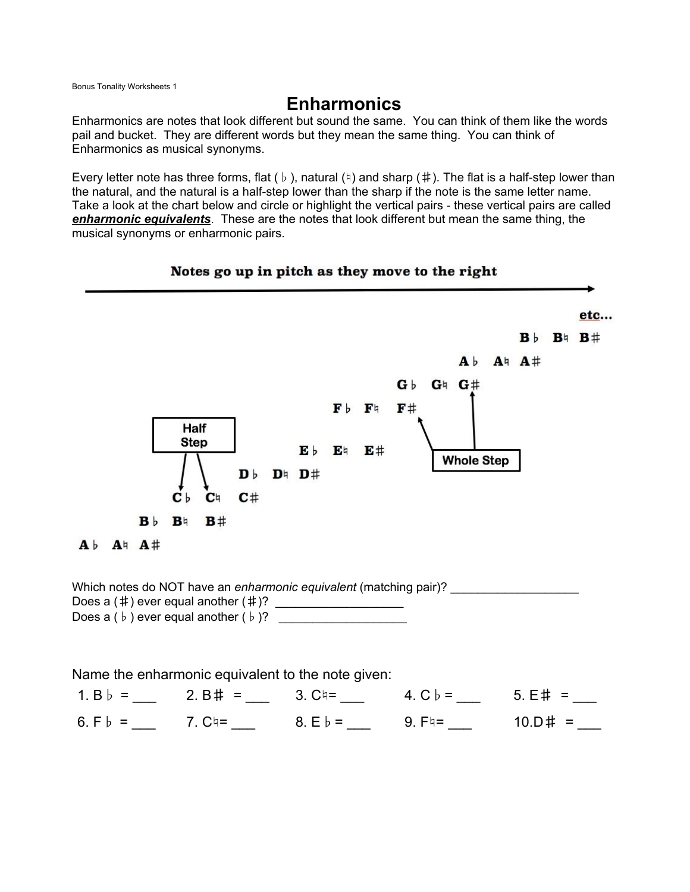**Bonus Tonality Worksheets 1** 

## **Enharmonics**

Enharmonics are notes that look different but sound the same. You can think of them like the words pail and bucket. They are different words but they mean the same thing. You can think of Enharmonics as musical synonyms.

Every letter note has three forms, flat (b), natural ( $\phi$ ) and sharp (#). The flat is a half-step lower than the natural, and the natural is a half-step lower than the sharp if the note is the same letter name. Take a look at the chart below and circle or highlight the vertical pairs - these vertical pairs are called enharmonic equivalents. These are the notes that look different but mean the same thing, the musical synonyms or enharmonic pairs.



## Notes go up in pitch as they move to the right

Does a  $(b)$  ever equal another  $(b)$ ?

Name the enharmonic equivalent to the note given: 6. F b = \_\_\_ 7. C = \_\_ 8. E b = \_\_ 9. F = \_\_ 10. D # = \_\_